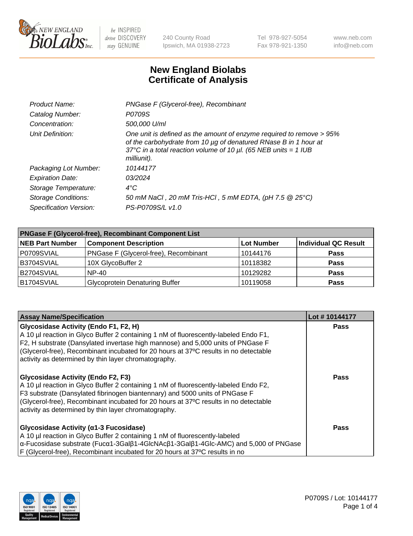

240 County Road Ipswich, MA 01938-2723 Tel 978-927-5054 Fax 978-921-1350 www.neb.com info@neb.com

## **New England Biolabs Certificate of Analysis**

| Product Name:              | PNGase F (Glycerol-free), Recombinant                                                                                                                                                                                           |
|----------------------------|---------------------------------------------------------------------------------------------------------------------------------------------------------------------------------------------------------------------------------|
| Catalog Number:            | P0709S                                                                                                                                                                                                                          |
| Concentration:             | 500,000 U/ml                                                                                                                                                                                                                    |
| Unit Definition:           | One unit is defined as the amount of enzyme required to remove > 95%<br>of the carbohydrate from 10 µg of denatured RNase B in 1 hour at<br>37°C in a total reaction volume of 10 $\mu$ l. (65 NEB units = 1 IUB<br>milliunit). |
| Packaging Lot Number:      | 10144177                                                                                                                                                                                                                        |
| <b>Expiration Date:</b>    | 03/2024                                                                                                                                                                                                                         |
| Storage Temperature:       | $4^{\circ}$ C                                                                                                                                                                                                                   |
| <b>Storage Conditions:</b> | 50 mM NaCl, 20 mM Tris-HCl, 5 mM EDTA, (pH 7.5 @ 25°C)                                                                                                                                                                          |
| Specification Version:     | PS-P0709S/L v1.0                                                                                                                                                                                                                |

| <b>PNGase F (Glycerol-free), Recombinant Component List</b> |                                       |                   |                      |  |
|-------------------------------------------------------------|---------------------------------------|-------------------|----------------------|--|
| <b>NEB Part Number</b>                                      | <b>Component Description</b>          | <b>Lot Number</b> | Individual QC Result |  |
| P0709SVIAL                                                  | PNGase F (Glycerol-free), Recombinant | 10144176          | <b>Pass</b>          |  |
| B3704SVIAL                                                  | 10X GlycoBuffer 2                     | 10118382          | <b>Pass</b>          |  |
| B2704SVIAL                                                  | <b>NP-40</b>                          | 10129282          | <b>Pass</b>          |  |
| B1704SVIAL                                                  | <b>Glycoprotein Denaturing Buffer</b> | 10119058          | <b>Pass</b>          |  |

| <b>Assay Name/Specification</b>                                                                                                                                                                                                                                                                                                                                  | Lot #10144177 |
|------------------------------------------------------------------------------------------------------------------------------------------------------------------------------------------------------------------------------------------------------------------------------------------------------------------------------------------------------------------|---------------|
| Glycosidase Activity (Endo F1, F2, H)<br>A 10 µl reaction in Glyco Buffer 2 containing 1 nM of fluorescently-labeled Endo F1,<br>F2, H substrate (Dansylated invertase high mannose) and 5,000 units of PNGase F<br>(Glycerol-free), Recombinant incubated for 20 hours at 37°C results in no detectable<br>activity as determined by thin layer chromatography. | <b>Pass</b>   |
| <b>Glycosidase Activity (Endo F2, F3)</b><br>A 10 µl reaction in Glyco Buffer 2 containing 1 nM of fluorescently-labeled Endo F2,<br>F3 substrate (Dansylated fibrinogen biantennary) and 5000 units of PNGase F<br>(Glycerol-free), Recombinant incubated for 20 hours at 37°C results in no detectable<br>activity as determined by thin layer chromatography. | Pass          |
| Glycosidase Activity (α1-3 Fucosidase)<br>A 10 µl reaction in Glyco Buffer 2 containing 1 nM of fluorescently-labeled<br>$\alpha$ -Fucosidase substrate (Fuc $\alpha$ 1-3Gal $\beta$ 1-4GlcNAc $\beta$ 1-3Gal $\beta$ 1-4Glc-AMC) and 5,000 of PNGase<br>F (Glycerol-free), Recombinant incubated for 20 hours at 37°C results in no                             | Pass          |

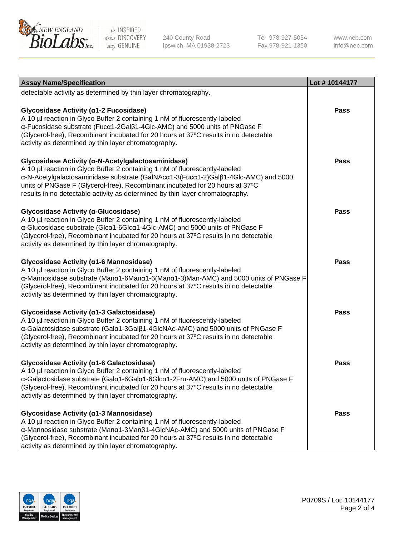

240 County Road Ipswich, MA 01938-2723 Tel 978-927-5054 Fax 978-921-1350

www.neb.com info@neb.com

| <b>Assay Name/Specification</b>                                                                                                                                                                                                                                                                                                                                                           | Lot #10144177 |
|-------------------------------------------------------------------------------------------------------------------------------------------------------------------------------------------------------------------------------------------------------------------------------------------------------------------------------------------------------------------------------------------|---------------|
| detectable activity as determined by thin layer chromatography.                                                                                                                                                                                                                                                                                                                           |               |
| Glycosidase Activity (α1-2 Fucosidase)<br>A 10 µl reaction in Glyco Buffer 2 containing 1 nM of fluorescently-labeled<br>α-Fucosidase substrate (Fucα1-2Galβ1-4Glc-AMC) and 5000 units of PNGase F<br>(Glycerol-free), Recombinant incubated for 20 hours at 37°C results in no detectable<br>activity as determined by thin layer chromatography.                                        | <b>Pass</b>   |
| Glycosidase Activity (α-N-Acetylgalactosaminidase)<br>A 10 µl reaction in Glyco Buffer 2 containing 1 nM of fluorescently-labeled<br>α-N-Acetylgalactosaminidase substrate (GalNAcα1-3(Fucα1-2)Galβ1-4Glc-AMC) and 5000<br>units of PNGase F (Glycerol-free), Recombinant incubated for 20 hours at 37°C<br>results in no detectable activity as determined by thin layer chromatography. | <b>Pass</b>   |
| Glycosidase Activity (α-Glucosidase)<br>A 10 µl reaction in Glyco Buffer 2 containing 1 nM of fluorescently-labeled<br>α-Glucosidase substrate (Glcα1-6Glcα1-4Glc-AMC) and 5000 units of PNGase F<br>(Glycerol-free), Recombinant incubated for 20 hours at 37°C results in no detectable<br>activity as determined by thin layer chromatography.                                         | <b>Pass</b>   |
| Glycosidase Activity (α1-6 Mannosidase)<br>A 10 µl reaction in Glyco Buffer 2 containing 1 nM of fluorescently-labeled<br>α-Mannosidase substrate (Μanα1-6Μanα1-6(Μanα1-3)Man-AMC) and 5000 units of PNGase F<br>(Glycerol-free), Recombinant incubated for 20 hours at 37°C results in no detectable<br>activity as determined by thin layer chromatography.                             | <b>Pass</b>   |
| Glycosidase Activity (α1-3 Galactosidase)<br>A 10 µl reaction in Glyco Buffer 2 containing 1 nM of fluorescently-labeled<br>α-Galactosidase substrate (Galα1-3Galβ1-4GlcNAc-AMC) and 5000 units of PNGase F<br>(Glycerol-free), Recombinant incubated for 20 hours at 37°C results in no detectable<br>activity as determined by thin layer chromatography.                               | <b>Pass</b>   |
| Glycosidase Activity (a1-6 Galactosidase)<br>A 10 µl reaction in Glyco Buffer 2 containing 1 nM of fluorescently-labeled<br>α-Galactosidase substrate (Galα1-6Galα1-6Glcα1-2Fru-AMC) and 5000 units of PNGase F<br>(Glycerol-free), Recombinant incubated for 20 hours at 37°C results in no detectable<br>activity as determined by thin layer chromatography.                           | <b>Pass</b>   |
| Glycosidase Activity (α1-3 Mannosidase)<br>A 10 µl reaction in Glyco Buffer 2 containing 1 nM of fluorescently-labeled<br>α-Mannosidase substrate (Manα1-3Manβ1-4GlcNAc-AMC) and 5000 units of PNGase F<br>(Glycerol-free), Recombinant incubated for 20 hours at 37°C results in no detectable<br>activity as determined by thin layer chromatography.                                   | <b>Pass</b>   |

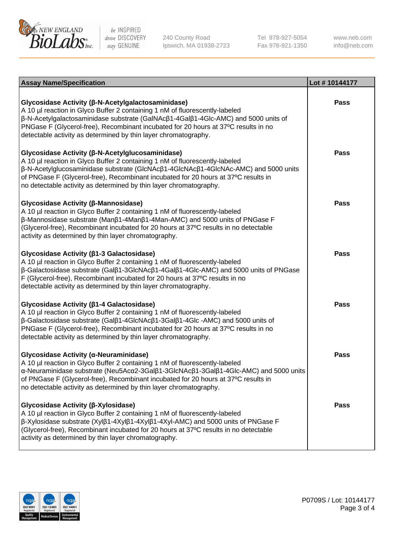

240 County Road Ipswich, MA 01938-2723 Tel 978-927-5054 Fax 978-921-1350

www.neb.com info@neb.com

| <b>Assay Name/Specification</b>                                                                                                                                                                                                                                                                                                                                                       | Lot #10144177 |
|---------------------------------------------------------------------------------------------------------------------------------------------------------------------------------------------------------------------------------------------------------------------------------------------------------------------------------------------------------------------------------------|---------------|
| Glycosidase Activity (β-N-Acetylgalactosaminidase)<br>A 10 µl reaction in Glyco Buffer 2 containing 1 nM of fluorescently-labeled<br>β-N-Acetylgalactosaminidase substrate (GalNAcβ1-4Galβ1-4Glc-AMC) and 5000 units of<br>PNGase F (Glycerol-free), Recombinant incubated for 20 hours at 37°C results in no<br>detectable activity as determined by thin layer chromatography.      | <b>Pass</b>   |
| Glycosidase Activity (β-N-Acetylglucosaminidase)<br>A 10 µl reaction in Glyco Buffer 2 containing 1 nM of fluorescently-labeled<br>β-N-Acetylglucosaminidase substrate (GlcNAcβ1-4GlcNAcβ1-4GlcNAc-AMC) and 5000 units<br>of PNGase F (Glycerol-free), Recombinant incubated for 20 hours at 37°C results in<br>no detectable activity as determined by thin layer chromatography.    | <b>Pass</b>   |
| Glycosidase Activity (β-Mannosidase)<br>A 10 µl reaction in Glyco Buffer 2 containing 1 nM of fluorescently-labeled<br>β-Mannosidase substrate (Manβ1-4Manβ1-4Man-AMC) and 5000 units of PNGase F<br>(Glycerol-free), Recombinant incubated for 20 hours at 37°C results in no detectable<br>activity as determined by thin layer chromatography.                                     | Pass          |
| Glycosidase Activity (β1-3 Galactosidase)<br>A 10 µl reaction in Glyco Buffer 2 containing 1 nM of fluorescently-labeled<br>β-Galactosidase substrate (Galβ1-3GlcNAcβ1-4Galβ1-4Glc-AMC) and 5000 units of PNGase<br>F (Glycerol-free), Recombinant incubated for 20 hours at 37°C results in no<br>detectable activity as determined by thin layer chromatography.                    | Pass          |
| Glycosidase Activity (β1-4 Galactosidase)<br>A 10 µl reaction in Glyco Buffer 2 containing 1 nM of fluorescently-labeled<br>β-Galactosidase substrate (Galβ1-4GlcNAcβ1-3Galβ1-4Glc -AMC) and 5000 units of<br>PNGase F (Glycerol-free), Recombinant incubated for 20 hours at 37°C results in no<br>detectable activity as determined by thin layer chromatography.                   | <b>Pass</b>   |
| Glycosidase Activity (α-Neuraminidase)<br>A 10 µl reaction in Glyco Buffer 2 containing 1 nM of fluorescently-labeled<br>α-Neuraminidase substrate (Neu5Acα2-3Galβ1-3GlcNAcβ1-3Galβ1-4Glc-AMC) and 5000 units<br>of PNGase F (Glycerol-free), Recombinant incubated for 20 hours at 37°C results in<br>no detectable activity as determined by thin layer chromatography.             | <b>Pass</b>   |
| Glycosidase Activity (β-Xylosidase)<br>A 10 µl reaction in Glyco Buffer 2 containing 1 nM of fluorescently-labeled<br>$\beta$ -Xylosidase substrate (Xyl $\beta$ 1-4Xyl $\beta$ 1-4Xyl $\beta$ 1-4Xyl-AMC) and 5000 units of PNGase F<br>(Glycerol-free), Recombinant incubated for 20 hours at 37°C results in no detectable<br>activity as determined by thin layer chromatography. | <b>Pass</b>   |